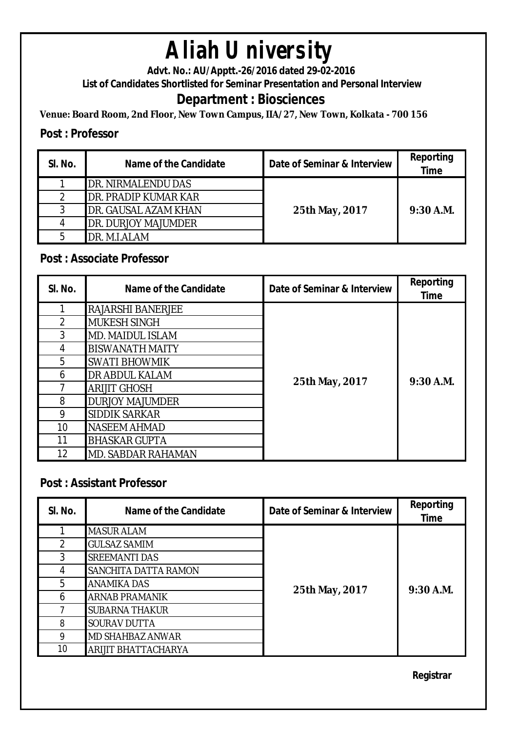# **Aliah University**

**Advt. No.: AU/Apptt.-26/2016 dated 29-02-2016** 

**List of Candidates Shortlisted for Seminar Presentation and Personal Interview**

### **Department : Biosciences**

**Venue: Board Room, 2nd Floor, New Town Campus, IIA/27, New Town, Kolkata - 700 156**

#### **Post : Professor**

| SI. No. | Name of the Candidate      | Date of Seminar & Interview | <b>Reporting</b><br><b>Time</b> |
|---------|----------------------------|-----------------------------|---------------------------------|
|         | <b>DR. NIRMALENDU DAS</b>  |                             |                                 |
|         | DR. PRADIP KUMAR KAR       |                             |                                 |
|         | DR. GAUSAL AZAM KHAN       | 25th May, 2017              | $9:30$ A.M.                     |
|         | <b>DR. DURJOY MAJUMDER</b> |                             |                                 |
| 5       | DR. M.I.ALAM               |                             |                                 |

#### **Post : Associate Professor**

| SI. No.        | <b>Name of the Candidate</b> | Date of Seminar & Interview | Reporting<br><b>Time</b> |
|----------------|------------------------------|-----------------------------|--------------------------|
|                | <b>RAJARSHI BANERJEE</b>     | 25th May, 2017              | 9:30 A.M.                |
| $\overline{2}$ | <b>MUKESH SINGH</b>          |                             |                          |
| 3              | <b>MD. MAIDUL ISLAM</b>      |                             |                          |
| 4              | <b>BISWANATH MAITY</b>       |                             |                          |
| 5              | <b>SWATI BHOWMIK</b>         |                             |                          |
| 6              | <b>DR ABDUL KALAM</b>        |                             |                          |
| 7              | <b>ARIJIT GHOSH</b>          |                             |                          |
| 8              | <b>DURJOY MAJUMDER</b>       |                             |                          |
| 9              | <b>SIDDIK SARKAR</b>         |                             |                          |
| 10             | <b>NASEEM AHMAD</b>          |                             |                          |
| 11             | <b>BHASKAR GUPTA</b>         |                             |                          |
| 12             | <b>MD. SABDAR RAHAMAN</b>    |                             |                          |

#### **Post : Assistant Professor**

| SI. No.        | Name of the Candidate   | Date of Seminar & Interview | Reporting<br><b>Time</b> |
|----------------|-------------------------|-----------------------------|--------------------------|
|                | <b>MASUR ALAM</b>       |                             |                          |
| $\mathfrak{D}$ | <b>GULSAZ SAMIM</b>     |                             |                          |
| 3              | <b>SREEMANTI DAS</b>    |                             |                          |
| 4              | SANCHITA DATTA RAMON    | 25th May, 2017              | $9:30$ A.M.              |
| 5              | <b>ANAMIKA DAS</b>      |                             |                          |
| 6              | <b>ARNAB PRAMANIK</b>   |                             |                          |
|                | <b>SUBARNA THAKUR</b>   |                             |                          |
| 8              | <b>SOURAV DUTTA</b>     |                             |                          |
| 9              | <b>MD SHAHBAZ ANWAR</b> |                             |                          |
| 10             | ARIJIT BHATTACHARYA     |                             |                          |

**Registrar**